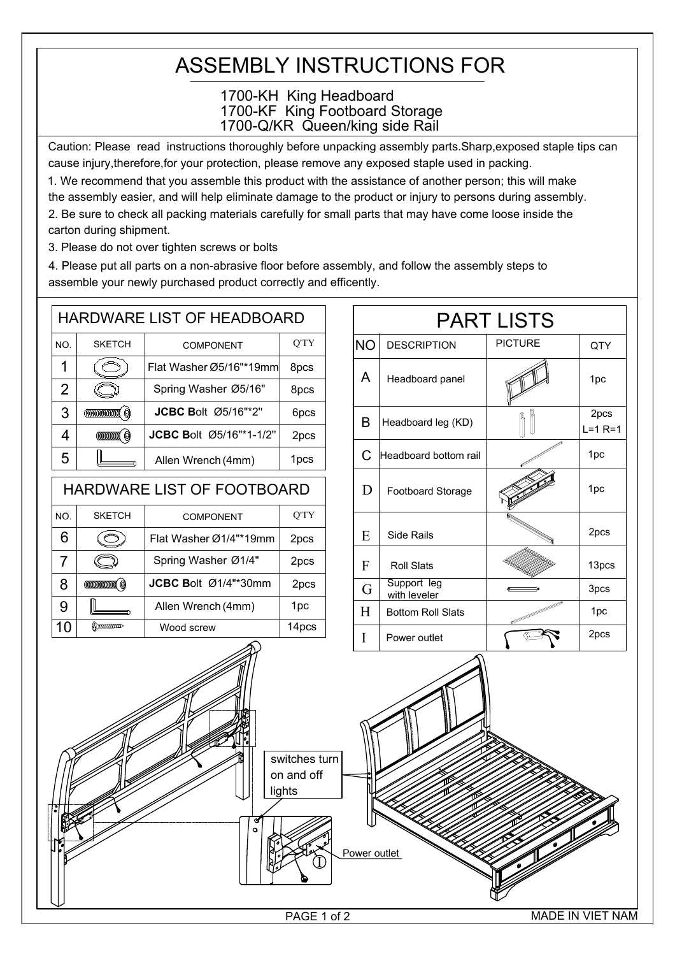## ASSEMBLY INSTRUCTIONS FOR

## 1700-Q/KR Queen/king side Rail 1700-KH King Headboard 1700-KF King Footboard Storage

Caution: Please read instructions thoroughly before unpacking assembly parts.Sharp,exposed staple tips can cause injury,therefore,for your protection, please remove any exposed staple used in packing.

1. We recommend that you assemble this product with the assistance of another person; this will make the assembly easier, and will help eliminate damage to the product or injury to persons during assembly. 2. Be sure to check all packing materials carefully for small parts that may have come loose inside the

carton during shipment.

3. Please do not over tighten screws or bolts

4. Please put all parts on a non-abrasive floor before assembly, and follow the assembly steps to assemble your newly purchased product correctly and efficently.